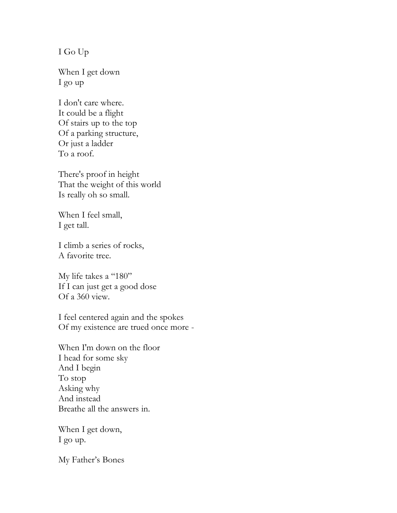I Go Up

When I get down I go up

I don't care where. It could be a flight Of stairs up to the top Of a parking structure, Or just a ladder To a roof.

There's proof in height That the weight of this world Is really oh so small.

When I feel small, I get tall.

I climb a series of rocks, A favorite tree.

My life takes a "180" If I can just get a good dose Of a 360 view.

I feel centered again and the spokes Of my existence are trued once more -

When I'm down on the floor I head for some sky And I begin To stop Asking why And instead Breathe all the answers in.

When I get down, I go up.

My Father's Bones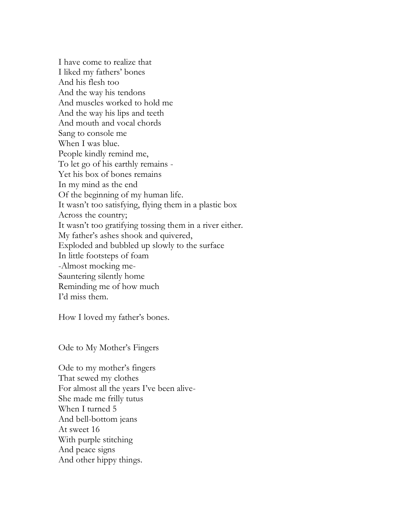I have come to realize that I liked my fathers' bones And his flesh too And the way his tendons And muscles worked to hold me And the way his lips and teeth And mouth and vocal chords Sang to console me When I was blue. People kindly remind me, To let go of his earthly remains - Yet his box of bones remains In my mind as the end Of the beginning of my human life. It wasn't too satisfying, flying them in a plastic box Across the country; It wasn't too gratifying tossing them in a river either. My father's ashes shook and quivered, Exploded and bubbled up slowly to the surface In little footsteps of foam -Almost mocking me-Sauntering silently home Reminding me of how much I'd miss them.

How I loved my father's bones.

Ode to My Mother's Fingers

Ode to my mother's fingers That sewed my clothes For almost all the years I've been alive-She made me frilly tutus When I turned 5 And bell-bottom jeans At sweet 16 With purple stitching And peace signs And other hippy things.